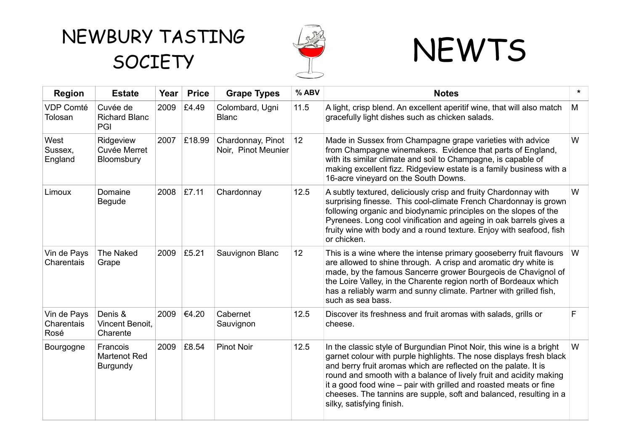## NEWBURY TASTING SOCIETY SOCIETY



| <b>Region</b>                     | <b>Estate</b>                                      | Year | <b>Price</b> | <b>Grape Types</b>                       | % ABV | <b>Notes</b>                                                                                                                                                                                                                                                                                                                                                                                                                                                 | $\star$ |
|-----------------------------------|----------------------------------------------------|------|--------------|------------------------------------------|-------|--------------------------------------------------------------------------------------------------------------------------------------------------------------------------------------------------------------------------------------------------------------------------------------------------------------------------------------------------------------------------------------------------------------------------------------------------------------|---------|
| <b>VDP Comté</b><br>Tolosan       | Cuvée de<br><b>Richard Blanc</b><br>PGI            | 2009 | £4.49        | Colombard, Ugni<br><b>Blanc</b>          | 11.5  | A light, crisp blend. An excellent aperitif wine, that will also match<br>gracefully light dishes such as chicken salads.                                                                                                                                                                                                                                                                                                                                    | M       |
| West<br>Sussex,<br>England        | Ridgeview<br>Cuvée Merret<br>Bloomsbury            | 2007 | £18.99       | Chardonnay, Pinot<br>Noir, Pinot Meunier | 12    | Made in Sussex from Champagne grape varieties with advice<br>from Champagne winemakers. Evidence that parts of England,<br>with its similar climate and soil to Champagne, is capable of<br>making excellent fizz. Ridgeview estate is a family business with a<br>16-acre vineyard on the South Downs.                                                                                                                                                      | W       |
| Limoux                            | Domaine<br><b>Begude</b>                           | 2008 | £7.11        | Chardonnay                               | 12.5  | A subtly textured, deliciously crisp and fruity Chardonnay with<br>surprising finesse. This cool-climate French Chardonnay is grown<br>following organic and biodynamic principles on the slopes of the<br>Pyrenees. Long cool vinification and ageing in oak barrels gives a<br>fruity wine with body and a round texture. Enjoy with seafood, fish<br>or chicken.                                                                                          | W       |
| Vin de Pays<br>Charentais         | The Naked<br>Grape                                 | 2009 | £5.21        | Sauvignon Blanc                          | 12    | This is a wine where the intense primary gooseberry fruit flavours<br>are allowed to shine through. A crisp and aromatic dry white is<br>made, by the famous Sancerre grower Bourgeois de Chavignol of<br>the Loire Valley, in the Charente region north of Bordeaux which<br>has a reliably warm and sunny climate. Partner with grilled fish,<br>such as sea bass.                                                                                         | W       |
| Vin de Pays<br>Charentais<br>Rosé | Denis &<br>Vincent Benoit,<br>Charente             | 2009 | €4.20        | Cabernet<br>Sauvignon                    | 12.5  | Discover its freshness and fruit aromas with salads, grills or<br>cheese.                                                                                                                                                                                                                                                                                                                                                                                    | F       |
| Bourgogne                         | Francois<br><b>Martenot Red</b><br><b>Burgundy</b> | 2009 | £8.54        | <b>Pinot Noir</b>                        | 12.5  | In the classic style of Burgundian Pinot Noir, this wine is a bright<br>garnet colour with purple highlights. The nose displays fresh black<br>and berry fruit aromas which are reflected on the palate. It is<br>round and smooth with a balance of lively fruit and acidity making<br>it a good food wine – pair with grilled and roasted meats or fine<br>cheeses. The tannins are supple, soft and balanced, resulting in a<br>silky, satisfying finish. | W       |